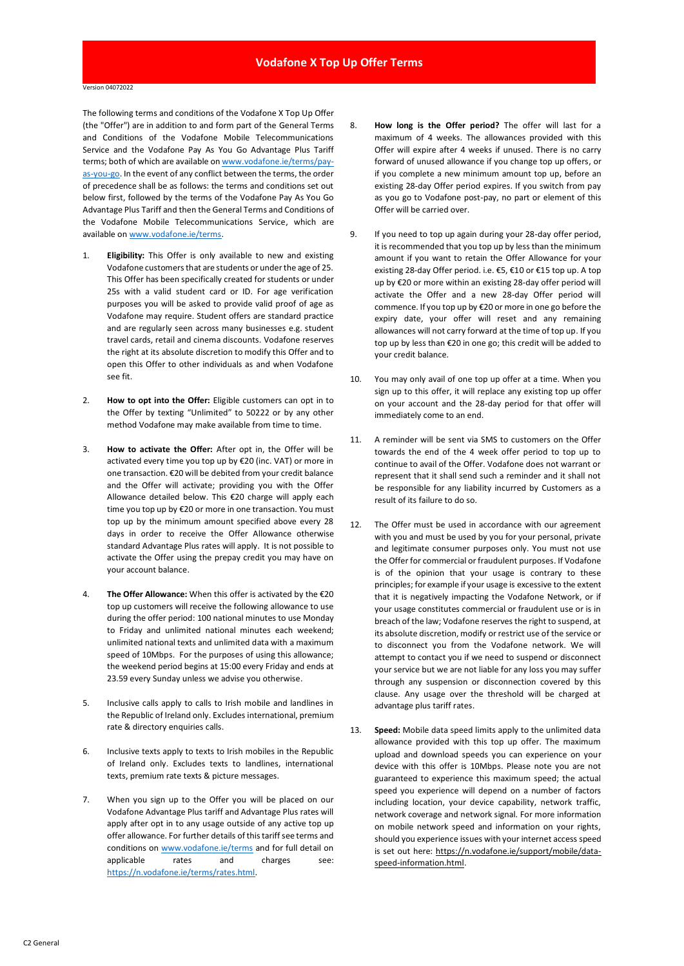The following terms and conditions of the Vodafone X Top Up Offer (the "Offer") are in addition to and form part of the General Terms and Conditions of the Vodafone Mobile Telecommunications Service and the Vodafone Pay As You Go Advantage Plus Tariff terms; both of which are available o[n www.vodafone.ie/terms/pay](https://n.vodafone.ie/terms/pay-as-you-go.html)[as-you-go.](https://n.vodafone.ie/terms/pay-as-you-go.html) In the event of any conflict between the terms, the order of precedence shall be as follows: the terms and conditions set out below first, followed by the terms of the Vodafone Pay As You Go Advantage Plus Tariff and then the General Terms and Conditions of the Vodafone Mobile Telecommunications Service, which are available on [www.vodafone.ie/terms.](http://www.vodafone.ie/terms)

- 1. **Eligibility:** This Offer is only available to new and existing Vodafone customers that are students or under the age of 25. This Offer has been specifically created for students or under 25s with a valid student card or ID. For age verification purposes you will be asked to provide valid proof of age as Vodafone may require. Student offers are standard practice and are regularly seen across many businesses e.g. student travel cards, retail and cinema discounts. Vodafone reserves the right at its absolute discretion to modify this Offer and to open this Offer to other individuals as and when Vodafone see fit.
- 2. **How to opt into the Offer:** Eligible customers can opt in to the Offer by texting "Unlimited" to 50222 or by any other method Vodafone may make available from time to time.
- 3. **How to activate the Offer:** After opt in, the Offer will be activated every time you top up by €20 (inc. VAT) or more in one transaction. €20 will be debited from your credit balance and the Offer will activate; providing you with the Offer Allowance detailed below. This €20 charge will apply each time you top up by €20 or more in one transaction. You must top up by the minimum amount specified above every 28 days in order to receive the Offer Allowance otherwise standard Advantage Plus rates will apply. It is not possible to activate the Offer using the prepay credit you may have on your account balance.
- 4. **The Offer Allowance:** When this offer is activated by the €20 top up customers will receive the following allowance to use during the offer period: 100 national minutes to use Monday to Friday and unlimited national minutes each weekend; unlimited national texts and unlimited data with a maximum speed of 10Mbps. For the purposes of using this allowance; the weekend period begins at 15:00 every Friday and ends at 23.59 every Sunday unless we advise you otherwise.
- 5. Inclusive calls apply to calls to Irish mobile and landlines in the Republic of Ireland only. Excludes international, premium rate & directory enquiries calls.
- 6. Inclusive texts apply to texts to Irish mobiles in the Republic of Ireland only. Excludes texts to landlines, international texts, premium rate texts & picture messages.
- 7. When you sign up to the Offer you will be placed on our Vodafone Advantage Plus tariff and Advantage Plus rates will apply after opt in to any usage outside of any active top up offer allowance. For further details of this tariff see terms and conditions o[n www.vodafone.ie/terms](http://www.vodafone.ie/terms) and for full detail on applicable rates and charges see: [https://n.vodafone.ie/terms/rates.html.](https://n.vodafone.ie/terms/rates.html)
- 8. **How long is the Offer period?** The offer will last for a maximum of 4 weeks. The allowances provided with this Offer will expire after 4 weeks if unused. There is no carry forward of unused allowance if you change top up offers, or if you complete a new minimum amount top up, before an existing 28-day Offer period expires. If you switch from pay as you go to Vodafone post-pay, no part or element of this Offer will be carried over.
- 9. If you need to top up again during your 28-day offer period, it is recommended that you top up by less than the minimum amount if you want to retain the Offer Allowance for your existing 28-day Offer period. i.e. €5, €10 or €15 top up. A top up by €20 or more within an existing 28-day offer period will activate the Offer and a new 28-day Offer period will commence. If you top up by €20 or more in one go before the expiry date, your offer will reset and any remaining allowances will not carry forward at the time of top up. If you top up by less than €20 in one go; this credit will be added to your credit balance.
- 10. You may only avail of one top up offer at a time. When you sign up to this offer, it will replace any existing top up offer on your account and the 28-day period for that offer will immediately come to an end.
- 11. A reminder will be sent via SMS to customers on the Offer towards the end of the 4 week offer period to top up to continue to avail of the Offer. Vodafone does not warrant or represent that it shall send such a reminder and it shall not be responsible for any liability incurred by Customers as a result of its failure to do so.
- 12. The Offer must be used in accordance with our agreement with you and must be used by you for your personal, private and legitimate consumer purposes only. You must not use the Offer for commercial or fraudulent purposes. If Vodafone is of the opinion that your usage is contrary to these principles; for example if your usage is excessive to the extent that it is negatively impacting the Vodafone Network, or if your usage constitutes commercial or fraudulent use or is in breach of the law; Vodafone reserves the right to suspend, at its absolute discretion, modify or restrict use of the service or to disconnect you from the Vodafone network. We will attempt to contact you if we need to suspend or disconnect your service but we are not liable for any loss you may suffer through any suspension or disconnection covered by this clause. Any usage over the threshold will be charged at advantage plus tariff rates.
- 13. **Speed:** Mobile data speed limits apply to the unlimited data allowance provided with this top up offer. The maximum upload and download speeds you can experience on your device with this offer is 10Mbps. Please note you are not guaranteed to experience this maximum speed; the actual speed you experience will depend on a number of factors including location, your device capability, network traffic, network coverage and network signal. For more information on mobile network speed and information on your rights, should you experience issues with your internet access speed is set out here: [https://n.vodafone.ie/support/mobile/data](https://n.vodafone.ie/support/mobile/data-speed-information.html)[speed-information.html.](https://n.vodafone.ie/support/mobile/data-speed-information.html)